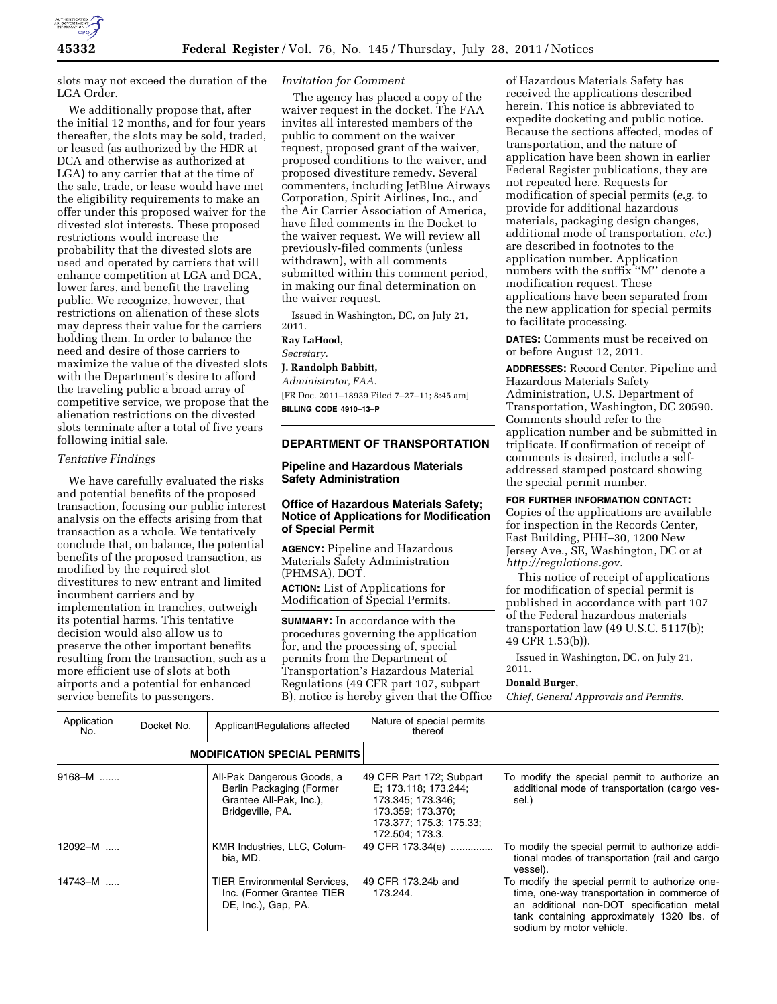

slots may not exceed the duration of the LGA Order.

We additionally propose that, after the initial 12 months, and for four years thereafter, the slots may be sold, traded, or leased (as authorized by the HDR at DCA and otherwise as authorized at LGA) to any carrier that at the time of the sale, trade, or lease would have met the eligibility requirements to make an offer under this proposed waiver for the divested slot interests. These proposed restrictions would increase the probability that the divested slots are used and operated by carriers that will enhance competition at LGA and DCA, lower fares, and benefit the traveling public. We recognize, however, that restrictions on alienation of these slots may depress their value for the carriers holding them. In order to balance the need and desire of those carriers to maximize the value of the divested slots with the Department's desire to afford the traveling public a broad array of competitive service, we propose that the alienation restrictions on the divested slots terminate after a total of five years following initial sale.

# *Tentative Findings*

We have carefully evaluated the risks and potential benefits of the proposed transaction, focusing our public interest analysis on the effects arising from that transaction as a whole. We tentatively conclude that, on balance, the potential benefits of the proposed transaction, as modified by the required slot divestitures to new entrant and limited incumbent carriers and by implementation in tranches, outweigh its potential harms. This tentative decision would also allow us to preserve the other important benefits resulting from the transaction, such as a more efficient use of slots at both airports and a potential for enhanced service benefits to passengers.

#### *Invitation for Comment*

The agency has placed a copy of the waiver request in the docket. The FAA invites all interested members of the public to comment on the waiver request, proposed grant of the waiver, proposed conditions to the waiver, and proposed divestiture remedy. Several commenters, including JetBlue Airways Corporation, Spirit Airlines, Inc., and the Air Carrier Association of America, have filed comments in the Docket to the waiver request. We will review all previously-filed comments (unless withdrawn), with all comments submitted within this comment period, in making our final determination on the waiver request.

Issued in Washington, DC, on July 21, 2011.

#### **Ray LaHood,**

*Secretary.* 

# **J. Randolph Babbitt,**

*Administrator, FAA.*  [FR Doc. 2011–18939 Filed 7–27–11; 8:45 am] **BILLING CODE 4910–13–P** 

#### **DEPARTMENT OF TRANSPORTATION**

### **Pipeline and Hazardous Materials Safety Administration**

## **Office of Hazardous Materials Safety; Notice of Applications for Modification of Special Permit**

**AGENCY:** Pipeline and Hazardous Materials Safety Administration (PHMSA), DOT. **ACTION:** List of Applications for Modification of Special Permits.

**SUMMARY:** In accordance with the procedures governing the application for, and the processing of, special permits from the Department of Transportation's Hazardous Material Regulations (49 CFR part 107, subpart B), notice is hereby given that the Office

of Hazardous Materials Safety has received the applications described herein. This notice is abbreviated to expedite docketing and public notice. Because the sections affected, modes of transportation, and the nature of application have been shown in earlier Federal Register publications, they are not repeated here. Requests for modification of special permits (*e.g.* to provide for additional hazardous materials, packaging design changes, additional mode of transportation, *etc.*) are described in footnotes to the application number. Application numbers with the suffix ''M'' denote a modification request. These applications have been separated from the new application for special permits to facilitate processing.

**DATES:** Comments must be received on or before August 12, 2011.

**ADDRESSES:** Record Center, Pipeline and Hazardous Materials Safety Administration, U.S. Department of Transportation, Washington, DC 20590. Comments should refer to the application number and be submitted in triplicate. If confirmation of receipt of comments is desired, include a selfaddressed stamped postcard showing the special permit number.

### **FOR FURTHER INFORMATION CONTACT:**

Copies of the applications are available for inspection in the Records Center, East Building, PHH–30, 1200 New Jersey Ave., SE, Washington, DC or at *[http://regulations.gov.](http://regulations.gov)* 

This notice of receipt of applications for modification of special permit is published in accordance with part 107 of the Federal hazardous materials transportation law (49 U.S.C. 5117(b); 49 CFR 1.53(b)).

Issued in Washington, DC, on July 21,

## **Donald Burger,**

2011.

*Chief, General Approvals and Permits.* 

| Application<br>No. | Docket No. | ApplicantRegulations affected                                                                         | Nature of special permits<br>thereof                                                                                                     |                                                                                                                                                                                                                      |
|--------------------|------------|-------------------------------------------------------------------------------------------------------|------------------------------------------------------------------------------------------------------------------------------------------|----------------------------------------------------------------------------------------------------------------------------------------------------------------------------------------------------------------------|
|                    |            | <b>MODIFICATION SPECIAL PERMITS</b>                                                                   |                                                                                                                                          |                                                                                                                                                                                                                      |
| $9168 - M$         |            | All-Pak Dangerous Goods, a<br>Berlin Packaging (Former<br>Grantee All-Pak, Inc.),<br>Bridgeville, PA. | 49 CFR Part 172; Subpart<br>E; 173.118; 173.244;<br>173.345; 173.346;<br>173.359; 173.370;<br>173.377; 175.3; 175.33;<br>172.504: 173.3. | To modify the special permit to authorize an<br>additional mode of transportation (cargo ves-<br>sel.)                                                                                                               |
| 12092-M            |            | KMR Industries, LLC, Colum-<br>bia, MD.                                                               | 49 CFR 173.34(e)                                                                                                                         | To modify the special permit to authorize addi-<br>tional modes of transportation (rail and cargo<br>vessel).                                                                                                        |
| 14743-M            |            | <b>TIER Environmental Services.</b><br>Inc. (Former Grantee TIER<br>DE, Inc.), Gap, PA.               | 49 CFR 173.24b and<br>173.244.                                                                                                           | To modify the special permit to authorize one-<br>time, one-way transportation in commerce of<br>an additional non-DOT specification metal<br>tank containing approximately 1320 lbs. of<br>sodium by motor vehicle. |